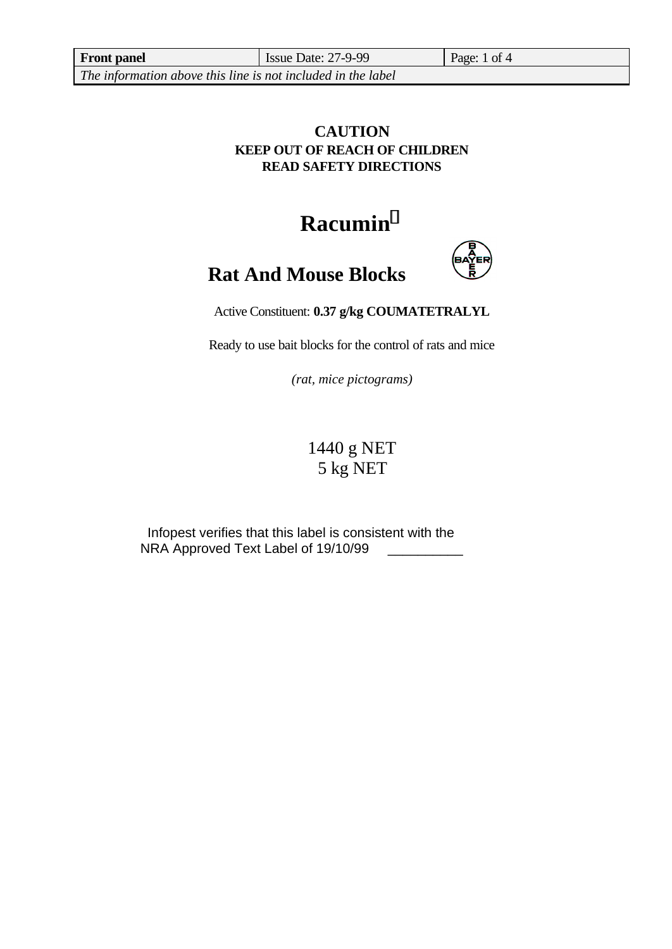**Front panel** Issue Date: 27-9-99 Page: 1 of 4

*The information above this line is not included in the label*

## **CAUTION KEEP OUT OF REACH OF CHILDREN READ SAFETY DIRECTIONS**

# **Racumin<sup>Ò</sup>**



# **Rat And Mouse Blocks**

Active Constituent: **0.37 g/kg COUMATETRALYL**

Ready to use bait blocks for the control of rats and mice

*(rat, mice pictograms)*

## 1440 g NET 5 kg NET

Infopest verifies that this label is consistent with the NRA Approved Text Label of 19/10/99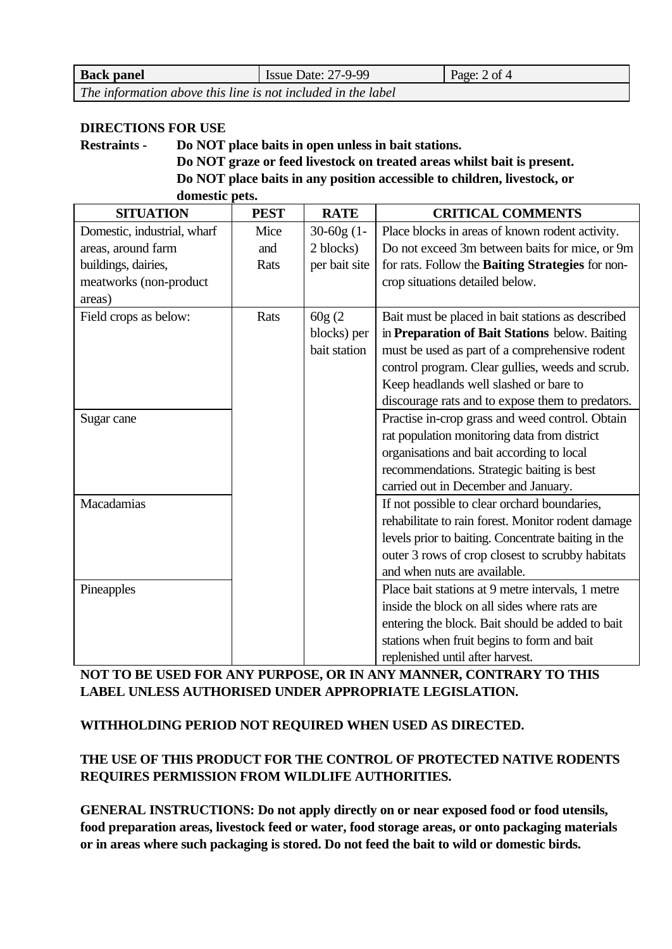| <b>Back panel</b>                                            | <b>Issue Date: 27-9-99</b> | Page: $2$ of $4$ |
|--------------------------------------------------------------|----------------------------|------------------|
| The information above this line is not included in the label |                            |                  |

#### **DIRECTIONS FOR USE**

**Restraints - Do NOT place baits in open unless in bait stations.**

**Do NOT graze or feed livestock on treated areas whilst bait is present. Do NOT place baits in any position accessible to children, livestock, or domestic pets.**

| <b>SITUATION</b>            | <b>PEST</b> | <b>RATE</b>   | <b>CRITICAL COMMENTS</b>                            |
|-----------------------------|-------------|---------------|-----------------------------------------------------|
| Domestic, industrial, wharf | Mice        | $30-60g(1-$   | Place blocks in areas of known rodent activity.     |
| areas, around farm          | and         | 2 blocks)     | Do not exceed 3m between baits for mice, or 9m      |
| buildings, dairies,         | Rats        | per bait site | for rats. Follow the Baiting Strategies for non-    |
| meatworks (non-product      |             |               | crop situations detailed below.                     |
| areas)                      |             |               |                                                     |
| Field crops as below:       | Rats        | 60g(2)        | Bait must be placed in bait stations as described   |
|                             |             | blocks) per   | in Preparation of Bait Stations below. Baiting      |
|                             |             | bait station  | must be used as part of a comprehensive rodent      |
|                             |             |               | control program. Clear gullies, weeds and scrub.    |
|                             |             |               | Keep headlands well slashed or bare to              |
|                             |             |               | discourage rats and to expose them to predators.    |
| Sugar cane                  |             |               | Practise in-crop grass and weed control. Obtain     |
|                             |             |               | rat population monitoring data from district        |
|                             |             |               | organisations and bait according to local           |
|                             |             |               | recommendations. Strategic baiting is best          |
|                             |             |               | carried out in December and January.                |
| Macadamias                  |             |               | If not possible to clear orchard boundaries,        |
|                             |             |               | rehabilitate to rain forest. Monitor rodent damage  |
|                             |             |               | levels prior to baiting. Concentrate baiting in the |
|                             |             |               | outer 3 rows of crop closest to scrubby habitats    |
|                             |             |               | and when nuts are available.                        |
| Pineapples                  |             |               | Place bait stations at 9 metre intervals, 1 metre   |
|                             |             |               | inside the block on all sides where rats are        |
|                             |             |               | entering the block. Bait should be added to bait    |
|                             |             |               | stations when fruit begins to form and bait         |
|                             |             |               | replenished until after harvest.                    |

**NOT TO BE USED FOR ANY PURPOSE, OR IN ANY MANNER, CONTRARY TO THIS LABEL UNLESS AUTHORISED UNDER APPROPRIATE LEGISLATION.**

#### **WITHHOLDING PERIOD NOT REQUIRED WHEN USED AS DIRECTED.**

#### **THE USE OF THIS PRODUCT FOR THE CONTROL OF PROTECTED NATIVE RODENTS REQUIRES PERMISSION FROM WILDLIFE AUTHORITIES.**

**GENERAL INSTRUCTIONS: Do not apply directly on or near exposed food or food utensils, food preparation areas, livestock feed or water, food storage areas, or onto packaging materials or in areas where such packaging is stored. Do not feed the bait to wild or domestic birds.**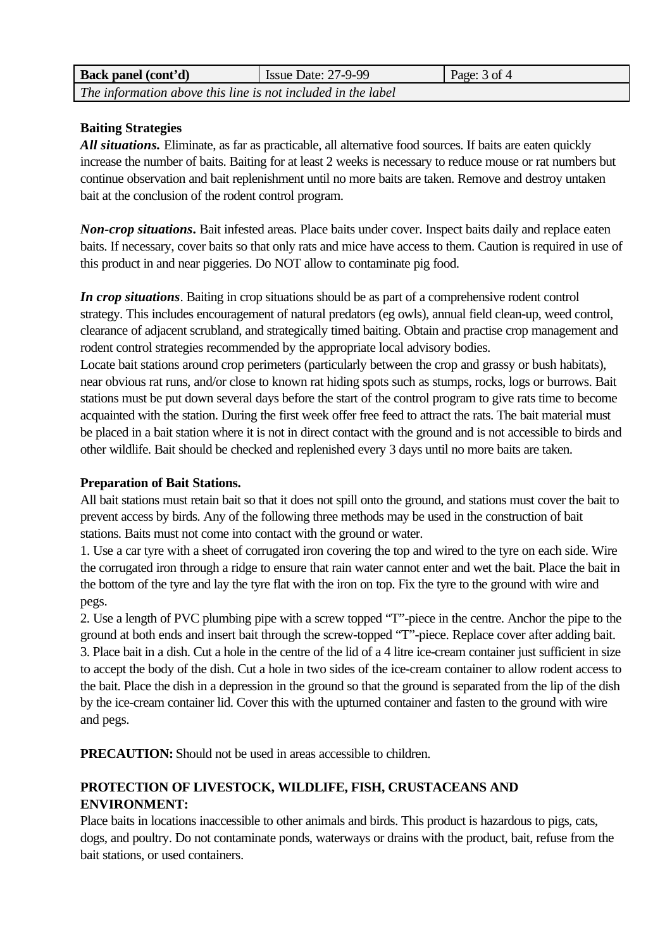| <b>Back panel (cont'd)</b>                                   | Issue Date: $27-9-99$ | Page: $3$ of $4$ |
|--------------------------------------------------------------|-----------------------|------------------|
| The information above this line is not included in the label |                       |                  |

#### **Baiting Strategies**

*All situations.* Eliminate, as far as practicable, all alternative food sources. If baits are eaten quickly increase the number of baits. Baiting for at least 2 weeks is necessary to reduce mouse or rat numbers but continue observation and bait replenishment until no more baits are taken. Remove and destroy untaken bait at the conclusion of the rodent control program.

*Non-crop situations***.** Bait infested areas. Place baits under cover. Inspect baits daily and replace eaten baits. If necessary, cover baits so that only rats and mice have access to them. Caution is required in use of this product in and near piggeries. Do NOT allow to contaminate pig food.

*In crop situations*. Baiting in crop situations should be as part of a comprehensive rodent control strategy. This includes encouragement of natural predators (eg owls), annual field clean-up, weed control, clearance of adjacent scrubland, and strategically timed baiting. Obtain and practise crop management and rodent control strategies recommended by the appropriate local advisory bodies.

Locate bait stations around crop perimeters (particularly between the crop and grassy or bush habitats), near obvious rat runs, and/or close to known rat hiding spots such as stumps, rocks, logs or burrows. Bait stations must be put down several days before the start of the control program to give rats time to become acquainted with the station. During the first week offer free feed to attract the rats. The bait material must be placed in a bait station where it is not in direct contact with the ground and is not accessible to birds and other wildlife. Bait should be checked and replenished every 3 days until no more baits are taken.

#### **Preparation of Bait Stations.**

All bait stations must retain bait so that it does not spill onto the ground, and stations must cover the bait to prevent access by birds. Any of the following three methods may be used in the construction of bait stations. Baits must not come into contact with the ground or water.

1. Use a car tyre with a sheet of corrugated iron covering the top and wired to the tyre on each side. Wire the corrugated iron through a ridge to ensure that rain water cannot enter and wet the bait. Place the bait in the bottom of the tyre and lay the tyre flat with the iron on top. Fix the tyre to the ground with wire and pegs.

2. Use a length of PVC plumbing pipe with a screw topped "T"-piece in the centre. Anchor the pipe to the ground at both ends and insert bait through the screw-topped "T"-piece. Replace cover after adding bait. 3. Place bait in a dish. Cut a hole in the centre of the lid of a 4 litre ice-cream container just sufficient in size to accept the body of the dish. Cut a hole in two sides of the ice-cream container to allow rodent access to the bait. Place the dish in a depression in the ground so that the ground is separated from the lip of the dish by the ice-cream container lid. Cover this with the upturned container and fasten to the ground with wire and pegs.

**PRECAUTION:** Should not be used in areas accessible to children.

## **PROTECTION OF LIVESTOCK, WILDLIFE, FISH, CRUSTACEANS AND ENVIRONMENT:**

Place baits in locations inaccessible to other animals and birds. This product is hazardous to pigs, cats, dogs, and poultry. Do not contaminate ponds, waterways or drains with the product, bait, refuse from the bait stations, or used containers.